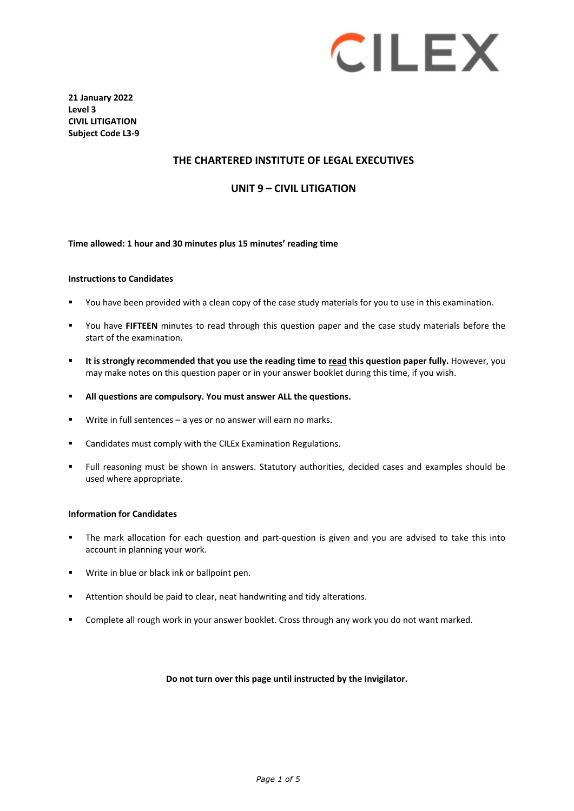# **CILEX**

**21 January 2022 Level 3 CIVIL LITIGATION Subject Code L3-9**

## **THE CHARTERED INSTITUTE OF LEGAL EXECUTIVES**

## **UNIT 9 – CIVIL LITIGATION**

#### **Time allowed: 1 hour and 30 minutes plus 15 minutes' reading time**

#### **Instructions to Candidates**

- You have been provided with a clean copy of the case study materials for you to use in this examination.
- You have **FIFTEEN** minutes to read through this question paper and the case study materials before the start of the examination.
- **It is strongly recommended that you use the reading time to read this question paper fully.** However, you may make notes on this question paper or in your answer booklet during this time, if you wish.
- **All questions are compulsory. You must answer ALL the questions.**
- Write in full sentences a yes or no answer will earn no marks.
- Candidates must comply with the CILEx Examination Regulations.
- Full reasoning must be shown in answers. Statutory authorities, decided cases and examples should be used where appropriate.

#### **Information for Candidates**

- The mark allocation for each question and part-question is given and you are advised to take this into account in planning your work.
- Write in blue or black ink or ballpoint pen.
- Attention should be paid to clear, neat handwriting and tidy alterations.
- **Complete all rough work in your answer booklet. Cross through any work you do not want marked.**

#### **Do not turn over this page until instructed by the Invigilator.**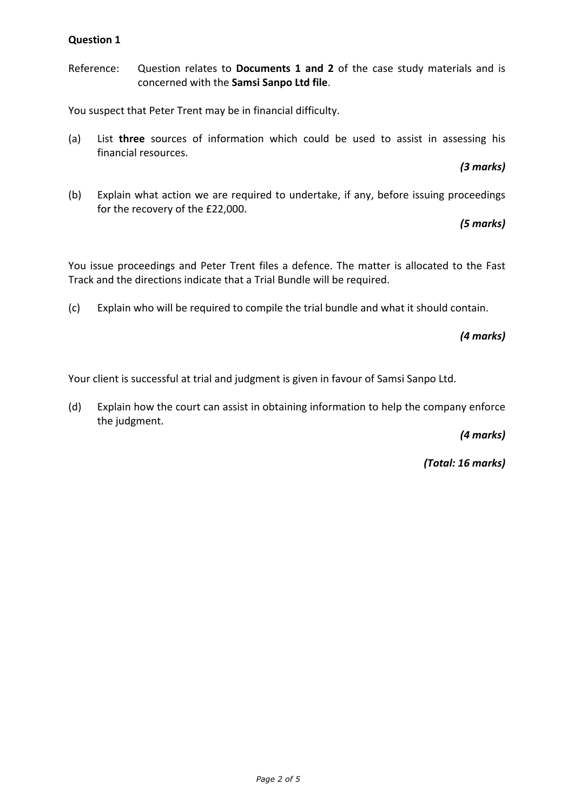Reference: Question relates to **Documents 1 and 2** of the case study materials and is concerned with the **Samsi Sanpo Ltd file**.

You suspect that Peter Trent may be in financial difficulty.

(a) List **three** sources of information which could be used to assist in assessing his financial resources.

*(3 marks)*

(b) Explain what action we are required to undertake, if any, before issuing proceedings for the recovery of the £22,000.

*(5 marks)*

You issue proceedings and Peter Trent files a defence. The matter is allocated to the Fast Track and the directions indicate that a Trial Bundle will be required.

(c) Explain who will be required to compile the trial bundle and what it should contain.

*(4 marks)*

Your client is successful at trial and judgment is given in favour of Samsi Sanpo Ltd.

(d) Explain how the court can assist in obtaining information to help the company enforce the judgment.

*(4 marks)*

*(Total: 16 marks)*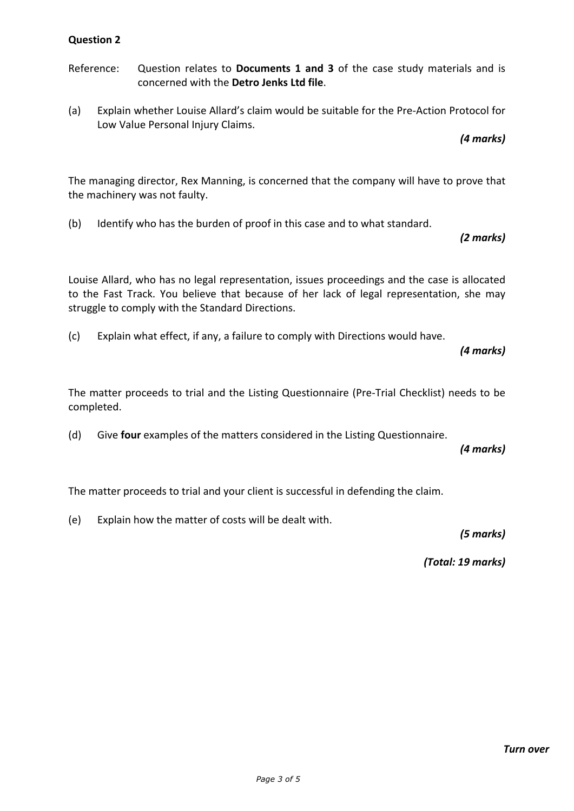- Reference: Question relates to **Documents 1 and 3** of the case study materials and is concerned with the **Detro Jenks Ltd file**.
- (a) Explain whether Louise Allard's claim would be suitable for the Pre-Action Protocol for Low Value Personal Injury Claims.

*(4 marks)* 

The managing director, Rex Manning, is concerned that the company will have to prove that the machinery was not faulty.

(b) Identify who has the burden of proof in this case and to what standard.

*(2 marks)*

Louise Allard, who has no legal representation, issues proceedings and the case is allocated to the Fast Track. You believe that because of her lack of legal representation, she may struggle to comply with the Standard Directions.

(c) Explain what effect, if any, a failure to comply with Directions would have.

*(4 marks)*

The matter proceeds to trial and the Listing Questionnaire (Pre-Trial Checklist) needs to be completed.

(d) Give **four** examples of the matters considered in the Listing Questionnaire.

*(4 marks)*

The matter proceeds to trial and your client is successful in defending the claim.

(e) Explain how the matter of costs will be dealt with.

*(5 marks)*

*(Total: 19 marks)*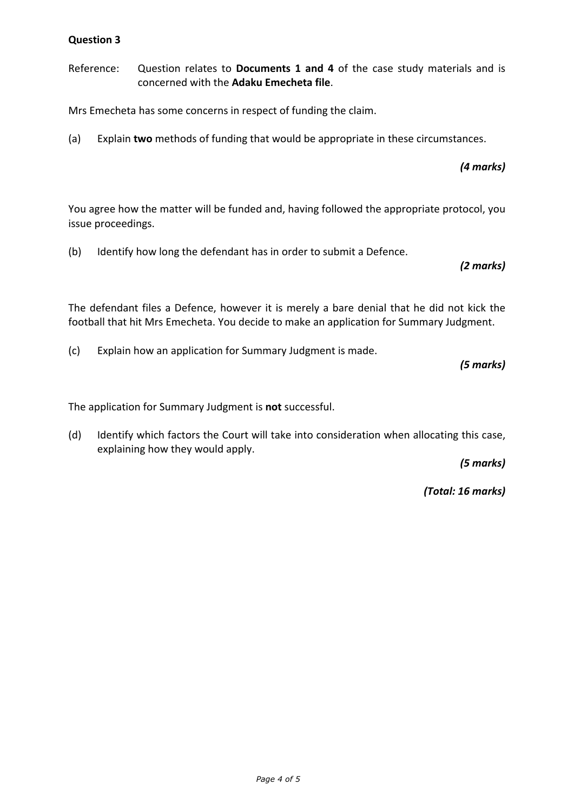Reference: Question relates to **Documents 1 and 4** of the case study materials and is concerned with the **Adaku Emecheta file**.

Mrs Emecheta has some concerns in respect of funding the claim.

(a) Explain **two** methods of funding that would be appropriate in these circumstances.

*(4 marks)*

You agree how the matter will be funded and, having followed the appropriate protocol, you issue proceedings.

(b) Identify how long the defendant has in order to submit a Defence.

*(2 marks)*

The defendant files a Defence, however it is merely a bare denial that he did not kick the football that hit Mrs Emecheta. You decide to make an application for Summary Judgment.

(c) Explain how an application for Summary Judgment is made.

*(5 marks)*

The application for Summary Judgment is **not** successful.

(d) Identify which factors the Court will take into consideration when allocating this case, explaining how they would apply.

*(5 marks)*

*(Total: 16 marks)*